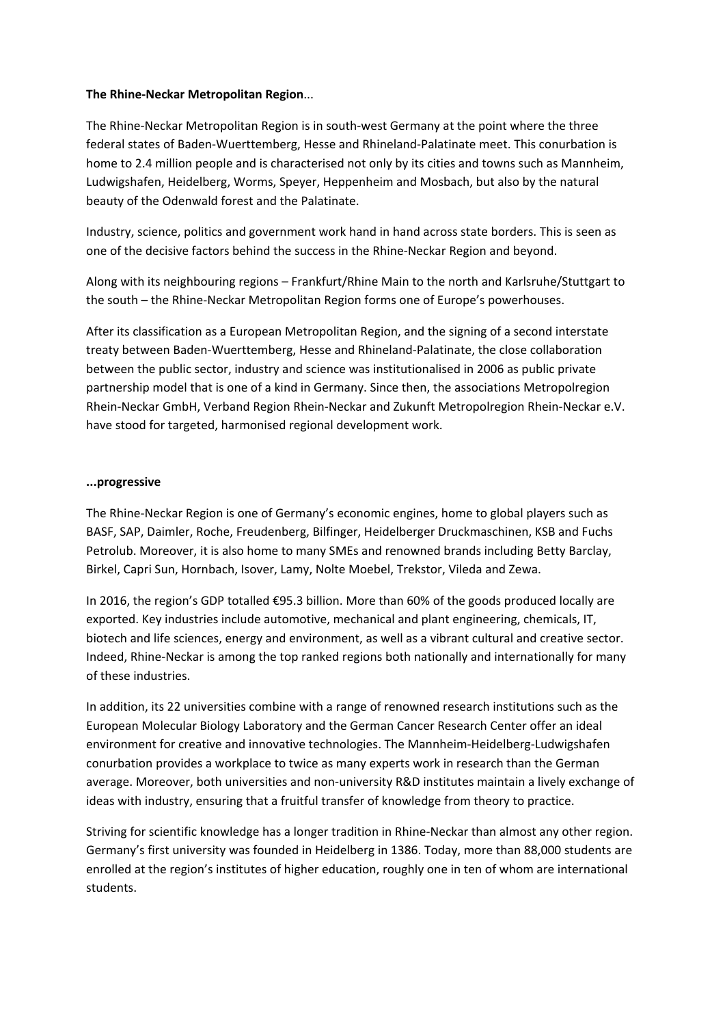## **The Rhine‐Neckar Metropolitan Region**...

The Rhine‐Neckar Metropolitan Region is in south‐west Germany at the point where the three federal states of Baden‐Wuerttemberg, Hesse and Rhineland‐Palatinate meet. This conurbation is home to 2.4 million people and is characterised not only by its cities and towns such as Mannheim, Ludwigshafen, Heidelberg, Worms, Speyer, Heppenheim and Mosbach, but also by the natural beauty of the Odenwald forest and the Palatinate.

Industry, science, politics and government work hand in hand across state borders. This is seen as one of the decisive factors behind the success in the Rhine‐Neckar Region and beyond.

Along with its neighbouring regions – Frankfurt/Rhine Main to the north and Karlsruhe/Stuttgart to the south – the Rhine‐Neckar Metropolitan Region forms one of Europe's powerhouses.

After its classification as a European Metropolitan Region, and the signing of a second interstate treaty between Baden‐Wuerttemberg, Hesse and Rhineland‐Palatinate, the close collaboration between the public sector, industry and science was institutionalised in 2006 as public private partnership model that is one of a kind in Germany. Since then, the associations Metropolregion Rhein‐Neckar GmbH, Verband Region Rhein‐Neckar and Zukunft Metropolregion Rhein‐Neckar e.V. have stood for targeted, harmonised regional development work.

## **...progressive**

The Rhine‐Neckar Region is one of Germany's economic engines, home to global players such as BASF, SAP, Daimler, Roche, Freudenberg, Bilfinger, Heidelberger Druckmaschinen, KSB and Fuchs Petrolub. Moreover, it is also home to many SMEs and renowned brands including Betty Barclay, Birkel, Capri Sun, Hornbach, Isover, Lamy, Nolte Moebel, Trekstor, Vileda and Zewa.

In 2016, the region's GDP totalled €95.3 billion. More than 60% of the goods produced locally are exported. Key industries include automotive, mechanical and plant engineering, chemicals, IT, biotech and life sciences, energy and environment, as well as a vibrant cultural and creative sector. Indeed, Rhine‐Neckar is among the top ranked regions both nationally and internationally for many of these industries.

In addition, its 22 universities combine with a range of renowned research institutions such as the European Molecular Biology Laboratory and the German Cancer Research Center offer an ideal environment for creative and innovative technologies. The Mannheim‐Heidelberg‐Ludwigshafen conurbation provides a workplace to twice as many experts work in research than the German average. Moreover, both universities and non-university R&D institutes maintain a lively exchange of ideas with industry, ensuring that a fruitful transfer of knowledge from theory to practice.

Striving for scientific knowledge has a longer tradition in Rhine‐Neckar than almost any other region. Germany's first university was founded in Heidelberg in 1386. Today, more than 88,000 students are enrolled at the region's institutes of higher education, roughly one in ten of whom are international students.